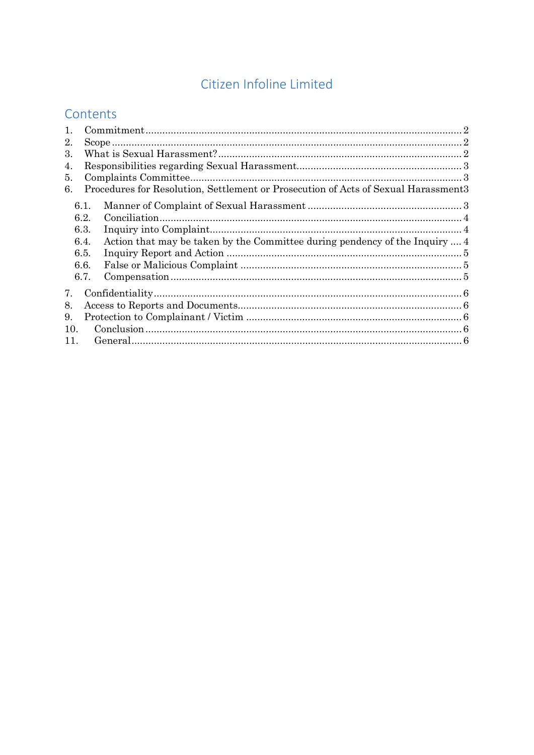# Citizen Infoline Limited

# Contents

| 1.  |      |                                                                                                                                                                                                                                                                                                                                                                                                                                                                                                                                                                           |  |
|-----|------|---------------------------------------------------------------------------------------------------------------------------------------------------------------------------------------------------------------------------------------------------------------------------------------------------------------------------------------------------------------------------------------------------------------------------------------------------------------------------------------------------------------------------------------------------------------------------|--|
| 2.  |      |                                                                                                                                                                                                                                                                                                                                                                                                                                                                                                                                                                           |  |
| 3.  |      |                                                                                                                                                                                                                                                                                                                                                                                                                                                                                                                                                                           |  |
| 4.  |      |                                                                                                                                                                                                                                                                                                                                                                                                                                                                                                                                                                           |  |
| 5.  |      |                                                                                                                                                                                                                                                                                                                                                                                                                                                                                                                                                                           |  |
| 6.  |      | Procedures for Resolution, Settlement or Prosecution of Acts of Sexual Harassment3                                                                                                                                                                                                                                                                                                                                                                                                                                                                                        |  |
|     | 6.1. |                                                                                                                                                                                                                                                                                                                                                                                                                                                                                                                                                                           |  |
|     | 6.2. |                                                                                                                                                                                                                                                                                                                                                                                                                                                                                                                                                                           |  |
|     | 6.3. |                                                                                                                                                                                                                                                                                                                                                                                                                                                                                                                                                                           |  |
|     | 6.4. | Action that may be taken by the Committee during pendency of the Inquiry  4                                                                                                                                                                                                                                                                                                                                                                                                                                                                                               |  |
|     | 6.5. |                                                                                                                                                                                                                                                                                                                                                                                                                                                                                                                                                                           |  |
|     | 6.6. |                                                                                                                                                                                                                                                                                                                                                                                                                                                                                                                                                                           |  |
|     | 6.7. | $\label{eq:compensation} {\bf Comparison of Theorem 1.1:} \begin{equation} \begin{minipage}[c]{0.9\linewidth} \normalsize \begin{minipage}[c]{0.9\linewidth} \normalsize \begin{minipage}[c]{0.9\linewidth} \normalsize \begin{minipage}[c]{0.9\linewidth} \normalsize \begin{minipage}[c]{0.9\linewidth} \normalsize \begin{minipage}[c]{0.9\linewidth} \normalsize \begin{minipage}[c]{0.9\linewidth} \normalsize \begin{minipage}[c]{0.9\linewidth} \normalsize \begin{minipage}[c]{0.9\linewidth} \normalsize \begin{minipage}[c]{0.9\linewidth} \normalsize \begin{$ |  |
| 7.  |      |                                                                                                                                                                                                                                                                                                                                                                                                                                                                                                                                                                           |  |
| 8.  |      |                                                                                                                                                                                                                                                                                                                                                                                                                                                                                                                                                                           |  |
| 9.  |      |                                                                                                                                                                                                                                                                                                                                                                                                                                                                                                                                                                           |  |
| 10. |      |                                                                                                                                                                                                                                                                                                                                                                                                                                                                                                                                                                           |  |
| 11. |      |                                                                                                                                                                                                                                                                                                                                                                                                                                                                                                                                                                           |  |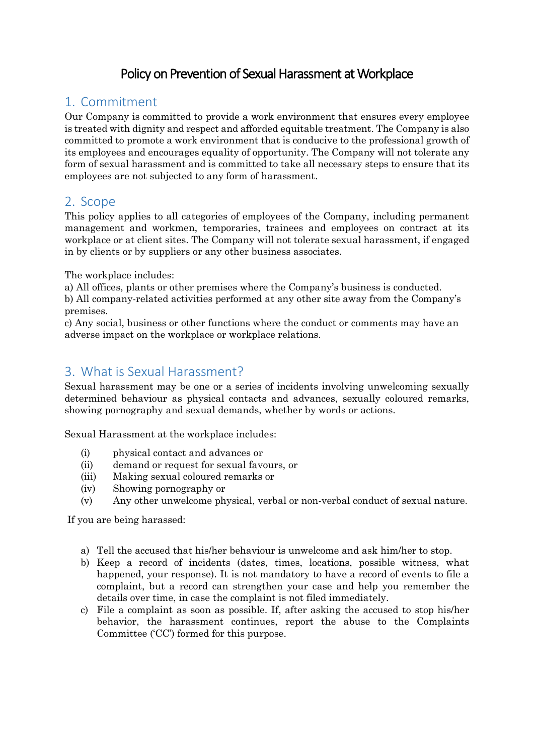# Policy on Prevention of Sexual Harassment at Workplace

## <span id="page-1-0"></span>1. Commitment

Our Company is committed to provide a work environment that ensures every employee is treated with dignity and respect and afforded equitable treatment. The Company is also committed to promote a work environment that is conducive to the professional growth of its employees and encourages equality of opportunity. The Company will not tolerate any form of sexual harassment and is committed to take all necessary steps to ensure that its employees are not subjected to any form of harassment.

### <span id="page-1-1"></span>2. Scope

This policy applies to all categories of employees of the Company, including permanent management and workmen, temporaries, trainees and employees on contract at its workplace or at client sites. The Company will not tolerate sexual harassment, if engaged in by clients or by suppliers or any other business associates.

The workplace includes:

a) All offices, plants or other premises where the Company's business is conducted.

b) All company-related activities performed at any other site away from the Company's premises.

c) Any social, business or other functions where the conduct or comments may have an adverse impact on the workplace or workplace relations.

# <span id="page-1-2"></span>3. What is Sexual Harassment?

Sexual harassment may be one or a series of incidents involving unwelcoming sexually determined behaviour as physical contacts and advances, sexually coloured remarks, showing pornography and sexual demands, whether by words or actions.

Sexual Harassment at the workplace includes:

- (i) physical contact and advances or
- (ii) demand or request for sexual favours, or
- (iii) Making sexual coloured remarks or
- (iv) Showing pornography or
- (v) Any other unwelcome physical, verbal or non-verbal conduct of sexual nature.

If you are being harassed:

- a) Tell the accused that his/her behaviour is unwelcome and ask him/her to stop.
- b) Keep a record of incidents (dates, times, locations, possible witness, what happened, your response). It is not mandatory to have a record of events to file a complaint, but a record can strengthen your case and help you remember the details over time, in case the complaint is not filed immediately.
- c) File a complaint as soon as possible. If, after asking the accused to stop his/her behavior, the harassment continues, report the abuse to the Complaints Committee ('CC') formed for this purpose.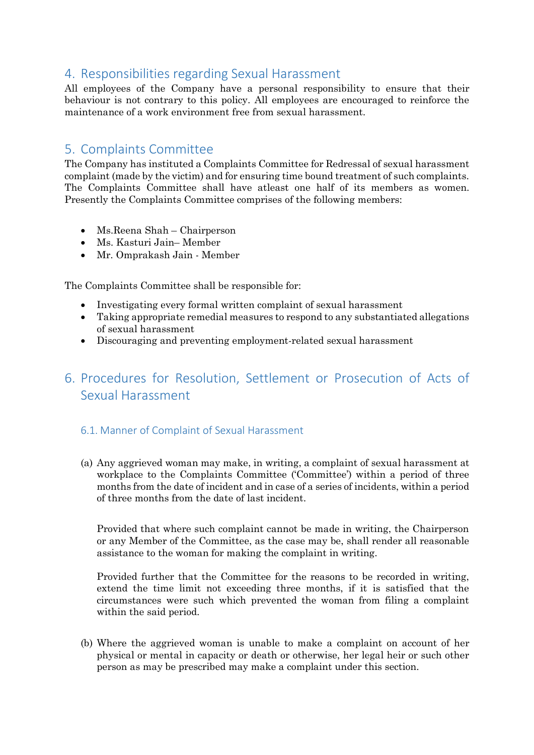### <span id="page-2-0"></span>4. Responsibilities regarding Sexual Harassment

All employees of the Company have a personal responsibility to ensure that their behaviour is not contrary to this policy. All employees are encouraged to reinforce the maintenance of a work environment free from sexual harassment.

## <span id="page-2-1"></span>5. Complaints Committee

The Company has instituted a Complaints Committee for Redressal of sexual harassment complaint (made by the victim) and for ensuring time bound treatment of such complaints. The Complaints Committee shall have atleast one half of its members as women. Presently the Complaints Committee comprises of the following members:

- Ms.Reena Shah Chairperson
- Ms. Kasturi Jain– Member
- Mr. Omprakash Jain Member

The Complaints Committee shall be responsible for:

- Investigating every formal written complaint of sexual harassment
- Taking appropriate remedial measures to respond to any substantiated allegations of sexual harassment
- Discouraging and preventing employment-related sexual harassment

# <span id="page-2-2"></span>6. Procedures for Resolution, Settlement or Prosecution of Acts of Sexual Harassment

#### <span id="page-2-3"></span>6.1. Manner of Complaint of Sexual Harassment

(a) Any aggrieved woman may make, in writing, a complaint of sexual harassment at workplace to the Complaints Committee ('Committee') within a period of three months from the date of incident and in case of a series of incidents, within a period of three months from the date of last incident.

Provided that where such complaint cannot be made in writing, the Chairperson or any Member of the Committee, as the case may be, shall render all reasonable assistance to the woman for making the complaint in writing.

Provided further that the Committee for the reasons to be recorded in writing, extend the time limit not exceeding three months, if it is satisfied that the circumstances were such which prevented the woman from filing a complaint within the said period.

(b) Where the aggrieved woman is unable to make a complaint on account of her physical or mental in capacity or death or otherwise, her legal heir or such other person as may be prescribed may make a complaint under this section.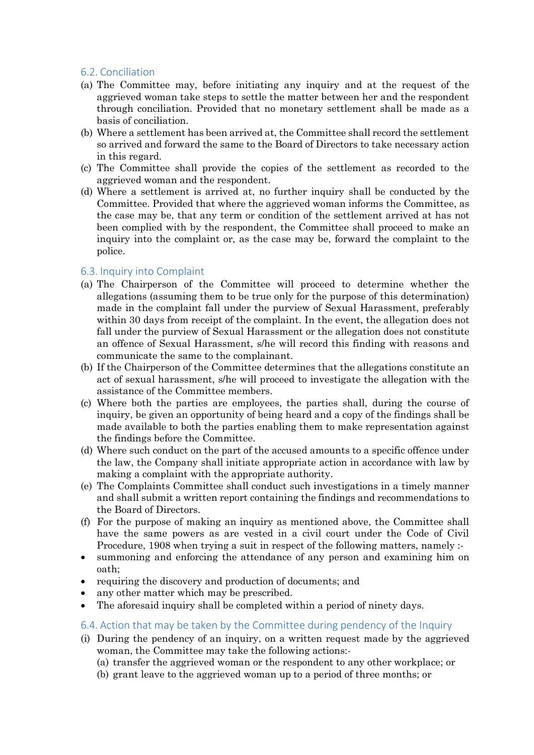#### <span id="page-3-0"></span>6.2. Conciliation

- (a) The Committee may, before initiating any inquiry and at the request of the aggrieved woman take steps to settle the matter between her and the respondent through conciliation. Provided that no monetary settlement shall be made as a basis of conciliation.
- (b) Where a settlement has been arrived at, the Committee shall record the settlement so arrived and forward the same to the Board of Directors to take necessary action in this regard.
- (c) The Committee shall provide the copies of the settlement as recorded to the aggrieved woman and the respondent.
- (d) Where a settlement is arrived at, no further inquiry shall be conducted by the Committee. Provided that where the aggrieved woman informs the Committee, as the case may be, that any term or condition of the settlement arrived at has not been complied with by the respondent, the Committee shall proceed to make an inquiry into the complaint or, as the case may be, forward the complaint to the police.

#### <span id="page-3-1"></span>6.3. Inquiry into Complaint

- (a) The Chairperson of the Committee will proceed to determine whether the allegations (assuming them to be true only for the purpose of this determination) made in the complaint fall under the purview of Sexual Harassment, preferably within 30 days from receipt of the complaint. In the event, the allegation does not fall under the purview of Sexual Harassment or the allegation does not constitute an offence of Sexual Harassment, s/he will record this finding with reasons and communicate the same to the complainant.
- (b) If the Chairperson of the Committee determines that the allegations constitute an act of sexual harassment, s/he will proceed to investigate the allegation with the assistance of the Committee members.
- (c) Where both the parties are employees, the parties shall, during the course of inquiry, be given an opportunity of being heard and a copy of the findings shall be made available to both the parties enabling them to make representation against the findings before the Committee.
- (d) Where such conduct on the part of the accused amounts to a specific offence under the law, the Company shall initiate appropriate action in accordance with law by making a complaint with the appropriate authority.
- (e) The Complaints Committee shall conduct such investigations in a timely manner and shall submit a written report containing the findings and recommendations to the Board of Directors.
- (f) For the purpose of making an inquiry as mentioned above, the Committee shall have the same powers as are vested in a civil court under the Code of Civil Procedure, 1908 when trying a suit in respect of the following matters, namely :-
- summoning and enforcing the attendance of any person and examining him on oath;
- requiring the discovery and production of documents; and
- any other matter which may be prescribed.
- The aforesaid inquiry shall be completed within a period of ninety days.

#### <span id="page-3-2"></span>6.4. Action that may be taken by the Committee during pendency of the Inquiry

- (i) During the pendency of an inquiry, on a written request made by the aggrieved woman, the Committee may take the following actions:-
	- (a) transfer the aggrieved woman or the respondent to any other workplace; or
	- (b) grant leave to the aggrieved woman up to a period of three months; or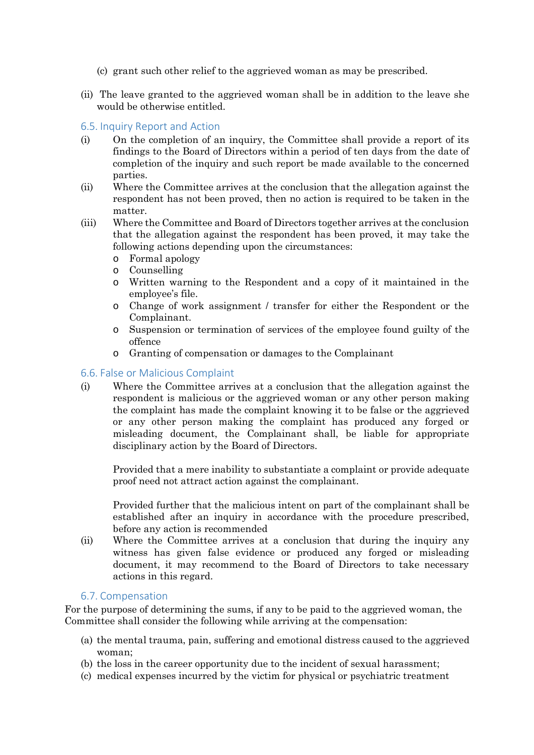- (c) grant such other relief to the aggrieved woman as may be prescribed.
- (ii) The leave granted to the aggrieved woman shall be in addition to the leave she would be otherwise entitled.

#### <span id="page-4-0"></span>6.5. Inquiry Report and Action

- (i) On the completion of an inquiry, the Committee shall provide a report of its findings to the Board of Directors within a period of ten days from the date of completion of the inquiry and such report be made available to the concerned parties.
- (ii) Where the Committee arrives at the conclusion that the allegation against the respondent has not been proved, then no action is required to be taken in the matter.
- (iii) Where the Committee and Board of Directors together arrives at the conclusion that the allegation against the respondent has been proved, it may take the following actions depending upon the circumstances:
	- o Formal apology
	- o Counselling
	- o Written warning to the Respondent and a copy of it maintained in the employee's file.
	- o Change of work assignment / transfer for either the Respondent or the Complainant.
	- o Suspension or termination of services of the employee found guilty of the offence
	- o Granting of compensation or damages to the Complainant

#### <span id="page-4-1"></span>6.6. False or Malicious Complaint

(i) Where the Committee arrives at a conclusion that the allegation against the respondent is malicious or the aggrieved woman or any other person making the complaint has made the complaint knowing it to be false or the aggrieved or any other person making the complaint has produced any forged or misleading document, the Complainant shall, be liable for appropriate disciplinary action by the Board of Directors.

Provided that a mere inability to substantiate a complaint or provide adequate proof need not attract action against the complainant.

Provided further that the malicious intent on part of the complainant shall be established after an inquiry in accordance with the procedure prescribed, before any action is recommended

(ii) Where the Committee arrives at a conclusion that during the inquiry any witness has given false evidence or produced any forged or misleading document, it may recommend to the Board of Directors to take necessary actions in this regard.

#### 6.7. Compensation

<span id="page-4-2"></span>For the purpose of determining the sums, if any to be paid to the aggrieved woman, the Committee shall consider the following while arriving at the compensation:

- (a) the mental trauma, pain, suffering and emotional distress caused to the aggrieved woman;
- (b) the loss in the career opportunity due to the incident of sexual harassment;
- (c) medical expenses incurred by the victim for physical or psychiatric treatment